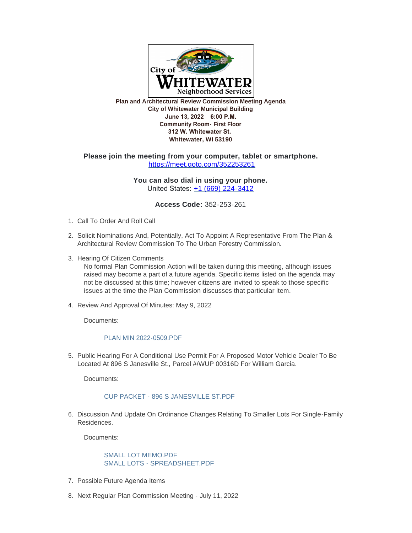

**Plan and Architectural Review Commission Meeting Agenda City of Whitewater Municipal Building June 13, 2022 6:00 P.M. Community Room- First Floor 312 W. Whitewater St. Whitewater, WI 53190**

# **Please join the meeting from your computer, tablet or smartphone.** <https://meet.goto.com/352253261>

**You can also dial in using your phone.** United States: [+1 \(669\) 224-3412](tel:+16692243412,,352253261)

**Access Code:** 352-253-261

- 1. Call To Order And Roll Call
- 2. Solicit Nominations And, Potentially, Act To Appoint A Representative From The Plan & Architectural Review Commission To The Urban Forestry Commission.
- 3. Hearing Of Citizen Comments

No formal Plan Commission Action will be taken during this meeting, although issues raised may become a part of a future agenda. Specific items listed on the agenda may not be discussed at this time; however citizens are invited to speak to those specific issues at the time the Plan Commission discusses that particular item.

4. Review And Approval Of Minutes: May 9, 2022

Documents:

#### [PLAN MIN 2022-0509.PDF](https://www.whitewater-wi.gov/AgendaCenter/ViewFile/Item/5622?fileID=26395)

5. Public Hearing For A Conditional Use Permit For A Proposed Motor Vehicle Dealer To Be Located At 896 S Janesville St., Parcel #/WUP 00316D For William Garcia.

Documents:

# [CUP PACKET - 896 S JANESVILLE ST.PDF](https://www.whitewater-wi.gov/AgendaCenter/ViewFile/Item/5905?fileID=26393)

6. Discussion And Update On Ordinance Changes Relating To Smaller Lots For Single-Family Residences.

Documents:

## [SMALL LOT MEMO.PDF](https://www.whitewater-wi.gov/AgendaCenter/ViewFile/Item/5909?fileID=26396) [SMALL LOTS - SPREADSHEET.PDF](https://www.whitewater-wi.gov/AgendaCenter/ViewFile/Item/5909?fileID=26397)

- 7. Possible Future Agenda Items
- 8. Next Regular Plan Commission Meeting July 11, 2022